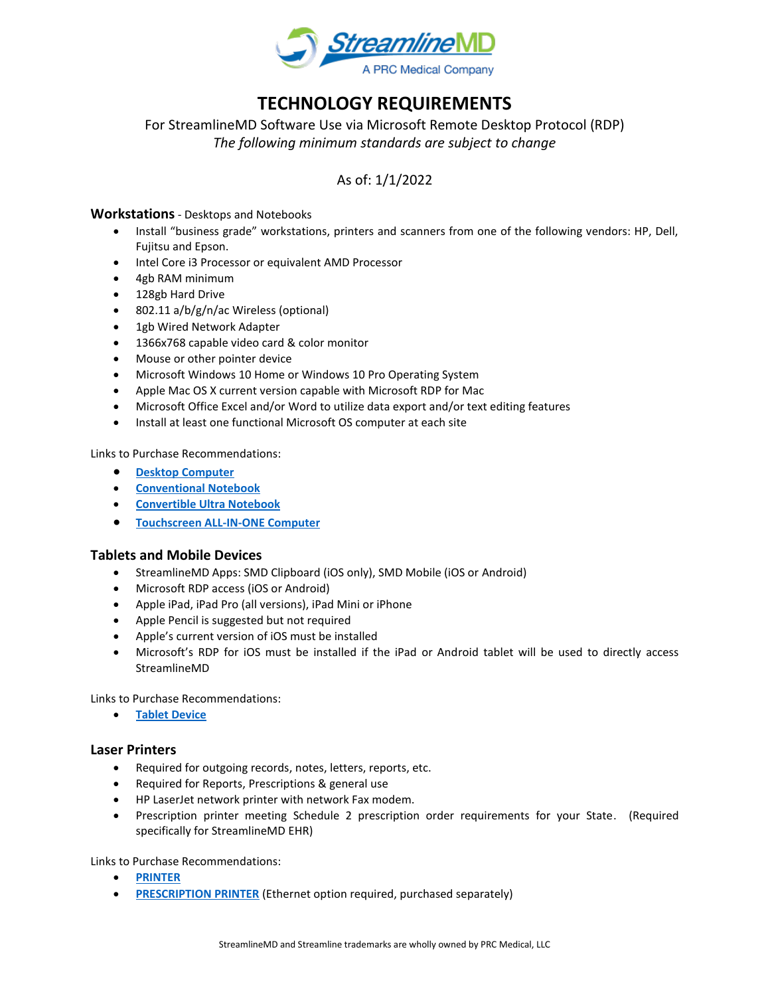

# **TECHNOLOGY REQUIREMENTS**

For StreamlineMD Software Use via Microsoft Remote Desktop Protocol (RDP) *The following minimum standards are subject to change*

# As of: 1/1/2022

# **Workstations**- Desktops and Notebooks

- Install "business grade" workstations, printers and scanners from one of the following vendors: HP, Dell, Fujitsu and Epson.
- Intel Core i3 Processor or equivalent AMD Processor
- 4gb RAM minimum
- 128gb Hard Drive
- 802.11 a/b/g/n/ac Wireless (optional)
- 1gb Wired Network Adapter
- 1366x768 capable video card & color monitor
- Mouse or other pointer device
- Microsoft Windows 10 Home or Windows 10 Pro Operating System
- Apple Mac OS X current version capable with Microsoft RDP for Mac
- Microsoft Office Excel and/or Word to utilize data export and/or text editing features
- Install at least one functional Microsoft OS computer at each site

Links to Purchase Recommendations:

- **[Desktop Computer](https://www.dell.com/en-us/work/shop/desktops-n-workstations/3240-compact/spd/precision-3240-workstation/s011p3240cffus_vivp)**
- **[Conventional Notebook](http://www.dell.com/en-us/work/shop/franchise/latitude-laptops?~ck=mn)**
- **[Convertible Ultra Notebook](http://shop.lenovo.com/us/en/laptops/lenovo/yoga-laptop-series/)**
- **[Touchscreen ALL-IN-ONE Computer](https://www.dell.com/en-us/shop/desktop-computers/sr/desktops/inspiron-desktops)**

#### **Tablets and Mobile Devices**

- StreamlineMD Apps: SMD Clipboard (iOS only), SMD Mobile (iOS or Android)
- Microsoft RDP access (iOS or Android)
- Apple iPad, iPad Pro (all versions), iPad Mini or iPhone
- Apple Pencil is suggested but not required
- Apple's current version of iOS must be installed
- Microsoft's RDP for iOS must be installed if the iPad or Android tablet will be used to directly access StreamlineMD

Links to Purchase Recommendations:

• **[Tablet Device](https://apple.com/ipad)**

#### **Laser Printers**

- Required for outgoing records, notes, letters, reports, etc.
- Required for Reports, Prescriptions & general use
- HP LaserJet network printer with network Fax modem.
- Prescription printer meeting Schedule 2 prescription order requirements for your State. (Required specifically for StreamlineMD EHR)

Links to Purchase Recommendations:

- **[PRINTER](https://store.hp.com/us/en/pdp/hp-laserjet-pro-mfp-m428fdw)**
- **[PRESCRIPTION PRINTER](http://www.starmicronics.com/pages/TSP800IIRx)** (Ethernet option required, purchased separately)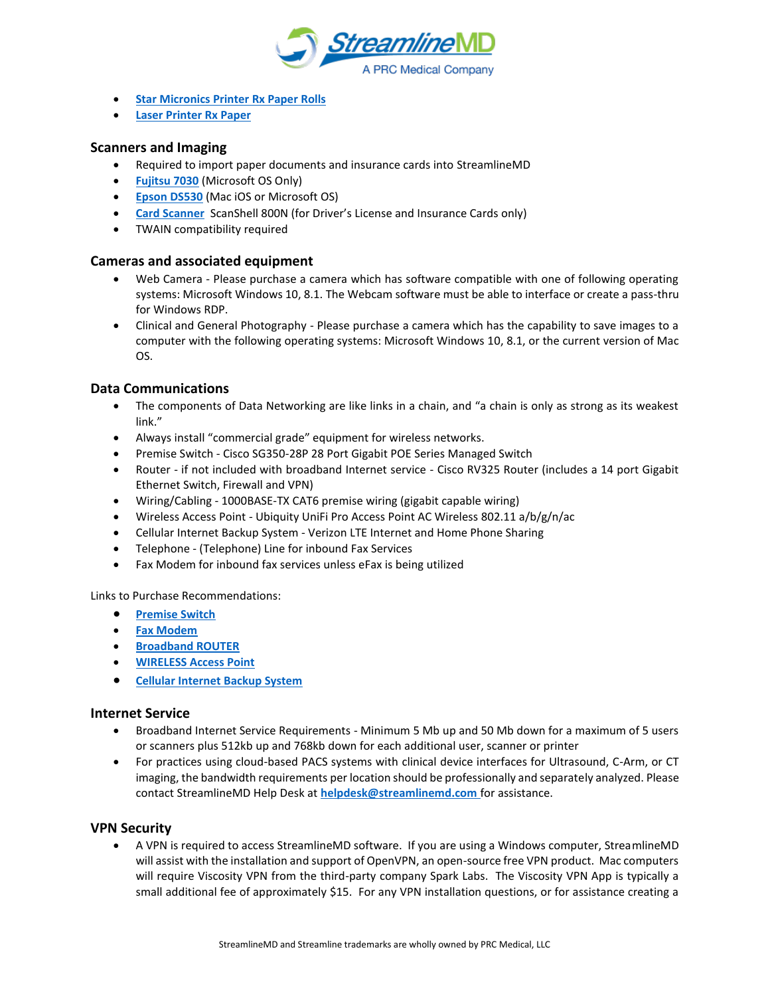

- **[Star Micronics Printer Rx Paper Rolls](http://www.prescriptionpaper.com/star-rolls.html)**
- **[Laser Printer Rx Paper](http://www.prescriptionpaper.com/laser-scripts.html)**

# **Scanners and Imaging**

- Required to import paper documents and insurance cards into StreamlineMD
- **[Fujitsu 7030](http://www.fujitsu.com/us/products/computing/peripheral/scanners/fi/workgroup/fi7030/index.html?&utm_source=google&utm_medium=cpc&gclid=EAIaIQobChMI1_DJ6Pis1wIVWLXACh1W3AQ0EAAYASAAEgIZkPD_BwE&cshift_ck=ffe41659-a3ed-4de2-a74f-c12f3d05312bcsI3vbHr3t)** (Microsoft OS Only)
- **[Epson DS530](https://epson.com/For-Work/Scanners/Workgroup-Document/Epson-DS-530-Color-Duplex-Document-Scanner/p/B11B236201)** (Mac iOS or Microsoft OS)
- **[Card Scanner](http://www.scanshell-store.com/hardware_ss800n.htm)** ScanShell 800N (for Driver's License and Insurance Cards only)
- TWAIN compatibility required

# **Cameras and associated equipment**

- Web Camera Please purchase a camera which has software compatible with one of following operating systems: Microsoft Windows 10, 8.1. The Webcam software must be able to interface or create a pass-thru for Windows RDP.
- Clinical and General Photography Please purchase a camera which has the capability to save images to a computer with the following operating systems: Microsoft Windows 10, 8.1, or the current version of Mac OS.

# **Data Communications**

- The components of Data Networking are like links in a chain, and "a chain is only as strong as its weakest link."
- Always install "commercial grade" equipment for wireless networks.
- Premise Switch Cisco SG350-28P 28 Port Gigabit POE Series Managed Switch
- Router if not included with broadband Internet service Cisco RV325 Router (includes a 14 port Gigabit Ethernet Switch, Firewall and VPN)
- Wiring/Cabling 1000BASE-TX CAT6 premise wiring (gigabit capable wiring)
- Wireless Access Point Ubiquity UniFi Pro Access Point AC Wireless 802.11 a/b/g/n/ac
- Cellular Internet Backup System Verizon LTE Internet and Home Phone Sharing
- Telephone (Telephone) Line for inbound Fax Services
- Fax Modem for inbound fax services unless eFax is being utilized

#### Links to Purchase Recommendations:

- **[Premise Switch](https://www.newegg.com/trendnet-tpe-5028ws-24-x-gigabit-poe-ports-4-x-shared-gigabit-ports-led-indicators/p/N82E16833156568?Description=28-Port%20Gigabit%20PoE%20Managed%20Switch&cm_re=28-Port_Gigabit%20PoE%20Managed%20Switch-_-9SIB0WNHRC1740-_-Product)**
- **[Fax Modem](https://www.amazon.com/Zoom-Model-3095-USB-Modem/dp/B07HHKG6HR/ref=asc_df_B07HHKG6HR/?tag=hyprod-20&linkCode=df0&hvadid=309773039951&hvpos=&hvnetw=g&hvrand=1625638816349211458&hvpone=&hvptwo=&hvqmt=&hvdev=c&hvdvcmdl=&hvlocint=&hvlocphy=9015410&hvtargid=pla-585426146321&psc=1)**
- **[Broadband ROUTER](https://www.newegg.com/p/N82E16833150357?item=9SIA575A186271&nm_mc=knc-googleadwords&cm_mmc=knc-googleadwords-_-network%20-%20routers%20%2F%20remote-_-cisco%20systems%2C%20inc.-_-9SIA575A186271&source=region)**
- **[WIRELESS Access Point](https://www.ui.com/unifi/unifi-ap-ac-pro/)**
- **[Cellular Internet Backup System](https://www.verizon.com/internet-devices/verizon-jetpack-mifi-8800l/)**

#### **Internet Service**

- Broadband Internet Service Requirements Minimum 5 Mb up and 50 Mb down for a maximum of 5 users or scanners plus 512kb up and 768kb down for each additional user, scanner or printer
- For practices using cloud-based PACS systems with clinical device interfaces for Ultrasound, C-Arm, or CT imaging, the bandwidth requirements per location should be professionally and separately analyzed. Please contact StreamlineMD Help Desk at **[helpdesk@streamlinemd.com](mailto:helpdesk@streamlinemd.com)** for assistance.

#### **VPN Security**

• A VPN is required to access StreamlineMD software. If you are using a Windows computer, StreamlineMD will assist with the installation and support of OpenVPN, an open-source free VPN product. Mac computers will require Viscosity VPN from the third-party company Spark Labs. The Viscosity VPN App is typically a small additional fee of approximately \$15. For any VPN installation questions, or for assistance creating a